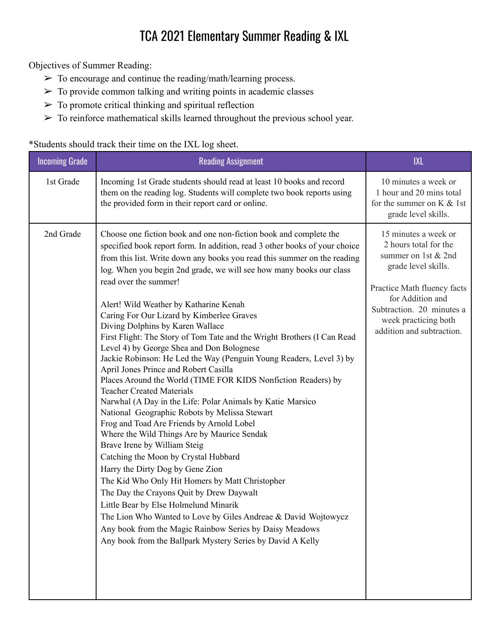## TCA 2021 Elementary Summer Reading & IXL

Objectives of Summer Reading:

- $\triangleright$  To encourage and continue the reading/math/learning process.
- $\triangleright$  To provide common talking and writing points in academic classes
- $\triangleright$  To promote critical thinking and spiritual reflection
- $\triangleright$  To reinforce mathematical skills learned throughout the previous school year.

\*Students should track their time on the IXL log sheet.

| <b>Incoming Grade</b> | <b>Reading Assignment</b>                                                                                                                                                                                                                                                                                                                                                                                                                                                                                                                                                                                                                                                                                                                                                                                                                                                                                                                                                                                                                                                                                                                                                                                                                                                                                                                                                                                                                                     | <b>IXL</b>                                                                                                                                                                                                                       |
|-----------------------|---------------------------------------------------------------------------------------------------------------------------------------------------------------------------------------------------------------------------------------------------------------------------------------------------------------------------------------------------------------------------------------------------------------------------------------------------------------------------------------------------------------------------------------------------------------------------------------------------------------------------------------------------------------------------------------------------------------------------------------------------------------------------------------------------------------------------------------------------------------------------------------------------------------------------------------------------------------------------------------------------------------------------------------------------------------------------------------------------------------------------------------------------------------------------------------------------------------------------------------------------------------------------------------------------------------------------------------------------------------------------------------------------------------------------------------------------------------|----------------------------------------------------------------------------------------------------------------------------------------------------------------------------------------------------------------------------------|
| 1st Grade             | Incoming 1st Grade students should read at least 10 books and record<br>them on the reading log. Students will complete two book reports using<br>the provided form in their report card or online.                                                                                                                                                                                                                                                                                                                                                                                                                                                                                                                                                                                                                                                                                                                                                                                                                                                                                                                                                                                                                                                                                                                                                                                                                                                           | 10 minutes a week or<br>1 hour and 20 mins total<br>for the summer on $K &$ 1st<br>grade level skills.                                                                                                                           |
| 2nd Grade             | Choose one fiction book and one non-fiction book and complete the<br>specified book report form. In addition, read 3 other books of your choice<br>from this list. Write down any books you read this summer on the reading<br>log. When you begin 2nd grade, we will see how many books our class<br>read over the summer!<br>Alert! Wild Weather by Katharine Kenah<br>Caring For Our Lizard by Kimberlee Graves<br>Diving Dolphins by Karen Wallace<br>First Flight: The Story of Tom Tate and the Wright Brothers (I Can Read<br>Level 4) by George Shea and Don Bolognese<br>Jackie Robinson: He Led the Way (Penguin Young Readers, Level 3) by<br>April Jones Prince and Robert Casilla<br>Places Around the World (TIME FOR KIDS Nonfiction Readers) by<br><b>Teacher Created Materials</b><br>Narwhal (A Day in the Life: Polar Animals by Katie Marsico<br>National Geographic Robots by Melissa Stewart<br>Frog and Toad Are Friends by Arnold Lobel<br>Where the Wild Things Are by Maurice Sendak<br>Brave Irene by William Steig<br>Catching the Moon by Crystal Hubbard<br>Harry the Dirty Dog by Gene Zion<br>The Kid Who Only Hit Homers by Matt Christopher<br>The Day the Crayons Quit by Drew Daywalt<br>Little Bear by Else Holmelund Minarik<br>The Lion Who Wanted to Love by Giles Andreae & David Wojtowycz<br>Any book from the Magic Rainbow Series by Daisy Meadows<br>Any book from the Ballpark Mystery Series by David A Kelly | 15 minutes a week or<br>2 hours total for the<br>summer on 1st & 2nd<br>grade level skills.<br>Practice Math fluency facts<br>for Addition and<br>Subtraction. 20 minutes a<br>week practicing both<br>addition and subtraction. |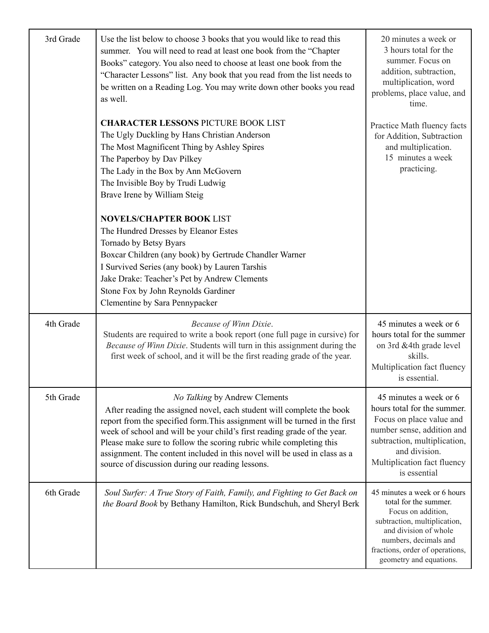| 3rd Grade | Use the list below to choose 3 books that you would like to read this<br>summer. You will need to read at least one book from the "Chapter<br>Books" category. You also need to choose at least one book from the<br>"Character Lessons" list. Any book that you read from the list needs to<br>be written on a Reading Log. You may write down other books you read<br>as well.                                                                                          | 20 minutes a week or<br>3 hours total for the<br>summer. Focus on<br>addition, subtraction,<br>multiplication, word<br>problems, place value, and<br>time.                                                                  |
|-----------|---------------------------------------------------------------------------------------------------------------------------------------------------------------------------------------------------------------------------------------------------------------------------------------------------------------------------------------------------------------------------------------------------------------------------------------------------------------------------|-----------------------------------------------------------------------------------------------------------------------------------------------------------------------------------------------------------------------------|
|           | <b>CHARACTER LESSONS PICTURE BOOK LIST</b><br>The Ugly Duckling by Hans Christian Anderson<br>The Most Magnificent Thing by Ashley Spires<br>The Paperboy by Dav Pilkey<br>The Lady in the Box by Ann McGovern<br>The Invisible Boy by Trudi Ludwig<br>Brave Irene by William Steig                                                                                                                                                                                       | Practice Math fluency facts<br>for Addition, Subtraction<br>and multiplication.<br>15 minutes a week<br>practicing.                                                                                                         |
|           | <b>NOVELS/CHAPTER BOOK LIST</b><br>The Hundred Dresses by Eleanor Estes<br>Tornado by Betsy Byars<br>Boxcar Children (any book) by Gertrude Chandler Warner<br>I Survived Series (any book) by Lauren Tarshis<br>Jake Drake: Teacher's Pet by Andrew Clements<br>Stone Fox by John Reynolds Gardiner<br>Clementine by Sara Pennypacker                                                                                                                                    |                                                                                                                                                                                                                             |
| 4th Grade | Because of Winn Dixie.<br>Students are required to write a book report (one full page in cursive) for<br>Because of Winn Dixie. Students will turn in this assignment during the<br>first week of school, and it will be the first reading grade of the year.                                                                                                                                                                                                             | 45 minutes a week or 6<br>hours total for the summer<br>on 3rd &4th grade level<br>skills.<br>Multiplication fact fluency<br>is essential.                                                                                  |
| 5th Grade | No Talking by Andrew Clements<br>After reading the assigned novel, each student will complete the book<br>report from the specified form. This assignment will be turned in the first<br>week of school and will be your child's first reading grade of the year.<br>Please make sure to follow the scoring rubric while completing this<br>assignment. The content included in this novel will be used in class as a<br>source of discussion during our reading lessons. | 45 minutes a week or 6<br>hours total for the summer.<br>Focus on place value and<br>number sense, addition and<br>subtraction, multiplication,<br>and division.<br>Multiplication fact fluency<br>is essential             |
| 6th Grade | Soul Surfer: A True Story of Faith, Family, and Fighting to Get Back on<br>the Board Book by Bethany Hamilton, Rick Bundschuh, and Sheryl Berk                                                                                                                                                                                                                                                                                                                            | 45 minutes a week or 6 hours<br>total for the summer.<br>Focus on addition,<br>subtraction, multiplication,<br>and division of whole<br>numbers, decimals and<br>fractions, order of operations,<br>geometry and equations. |